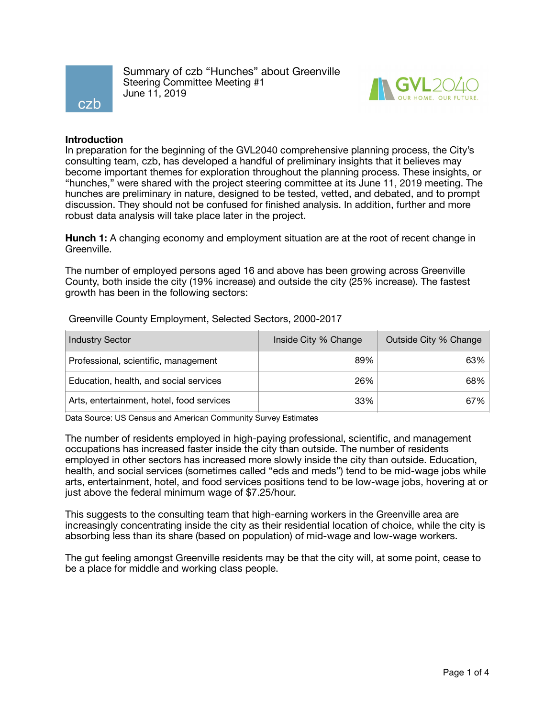

Summary of czb "Hunches" about Greenville Steering Committee Meeting #1 June 11, 2019



## **Introduction**

In preparation for the beginning of the GVL2040 comprehensive planning process, the City's consulting team, czb, has developed a handful of preliminary insights that it believes may become important themes for exploration throughout the planning process. These insights, or "hunches," were shared with the project steering committee at its June 11, 2019 meeting. The hunches are preliminary in nature, designed to be tested, vetted, and debated, and to prompt discussion. They should not be confused for finished analysis. In addition, further and more robust data analysis will take place later in the project.

**Hunch 1:** A changing economy and employment situation are at the root of recent change in Greenville.

The number of employed persons aged 16 and above has been growing across Greenville County, both inside the city (19% increase) and outside the city (25% increase). The fastest growth has been in the following sectors:

| <b>Industry Sector</b>                    | Inside City % Change | Outside City % Change |
|-------------------------------------------|----------------------|-----------------------|
| Professional, scientific, management      | 89%                  | $63\%$                |
| Education, health, and social services    | 26%                  | $68\%$                |
| Arts, entertainment, hotel, food services | 33%                  | $67\%$                |

Greenville County Employment, Selected Sectors, 2000-2017

Data Source: US Census and American Community Survey Estimates

The number of residents employed in high-paying professional, scientific, and management occupations has increased faster inside the city than outside. The number of residents employed in other sectors has increased more slowly inside the city than outside. Education, health, and social services (sometimes called "eds and meds") tend to be mid-wage jobs while arts, entertainment, hotel, and food services positions tend to be low-wage jobs, hovering at or just above the federal minimum wage of \$7.25/hour.

This suggests to the consulting team that high-earning workers in the Greenville area are increasingly concentrating inside the city as their residential location of choice, while the city is absorbing less than its share (based on population) of mid-wage and low-wage workers.

The gut feeling amongst Greenville residents may be that the city will, at some point, cease to be a place for middle and working class people.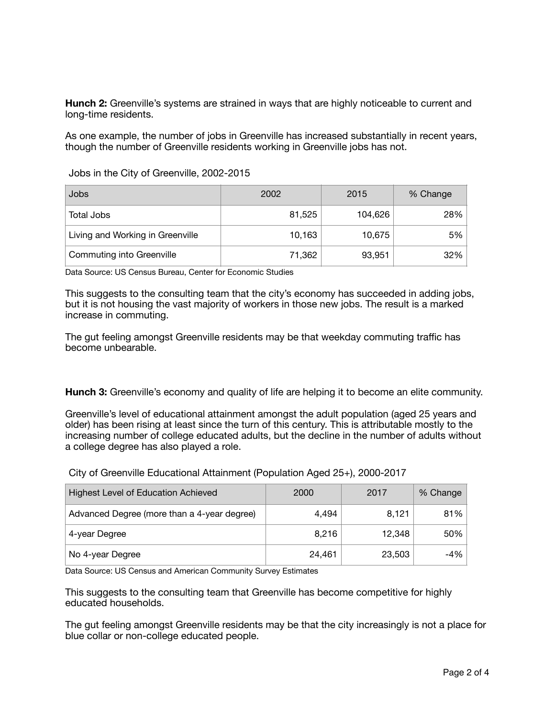**Hunch 2:** Greenville's systems are strained in ways that are highly noticeable to current and long-time residents.

As one example, the number of jobs in Greenville has increased substantially in recent years, though the number of Greenville residents working in Greenville jobs has not.

Jobs in the City of Greenville, 2002-2015

| Jobs                             | 2002   | 2015    | % Change |
|----------------------------------|--------|---------|----------|
| Total Jobs                       | 81,525 | 104,626 | 28%      |
| Living and Working in Greenville | 10,163 | 10,675  | 5%       |
| Commuting into Greenville        | 71,362 | 93,951  | 32%      |

Data Source: US Census Bureau, Center for Economic Studies

This suggests to the consulting team that the city's economy has succeeded in adding jobs, but it is not housing the vast majority of workers in those new jobs. The result is a marked increase in commuting.

The gut feeling amongst Greenville residents may be that weekday commuting traffic has become unbearable.

**Hunch 3:** Greenville's economy and quality of life are helping it to become an elite community.

Greenville's level of educational attainment amongst the adult population (aged 25 years and older) has been rising at least since the turn of this century. This is attributable mostly to the increasing number of college educated adults, but the decline in the number of adults without a college degree has also played a role.

City of Greenville Educational Attainment (Population Aged 25+), 2000-2017

| <b>Highest Level of Education Achieved</b>  | 2000   | 2017   | % Change |
|---------------------------------------------|--------|--------|----------|
| Advanced Degree (more than a 4-year degree) | 4.494  | 8,121  | 81%      |
| 4-year Degree                               | 8.216  | 12,348 | 50%      |
| No 4-year Degree                            | 24,461 | 23,503 | -4%      |

Data Source: US Census and American Community Survey Estimates

This suggests to the consulting team that Greenville has become competitive for highly educated households.

The gut feeling amongst Greenville residents may be that the city increasingly is not a place for blue collar or non-college educated people.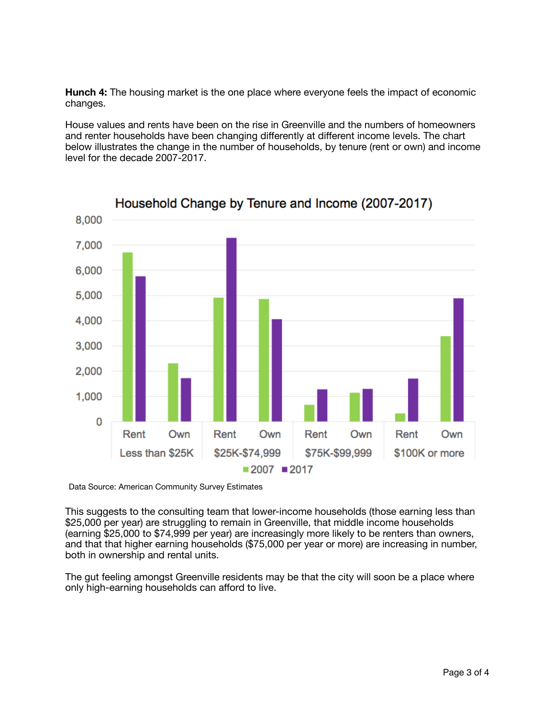**Hunch 4:** The housing market is the one place where everyone feels the impact of economic changes.

House values and rents have been on the rise in Greenville and the numbers of homeowners and renter households have been changing differently at different income levels. The chart below illustrates the change in the number of households, by tenure (rent or own) and income level for the decade 2007-2017.



Data Source: American Community Survey Estimates

This suggests to the consulting team that lower-income households (those earning less than \$25,000 per year) are struggling to remain in Greenville, that middle income households (earning \$25,000 to \$74,999 per year) are increasingly more likely to be renters than owners, and that that higher earning households (\$75,000 per year or more) are increasing in number, both in ownership and rental units.

The gut feeling amongst Greenville residents may be that the city will soon be a place where only high-earning households can afford to live.